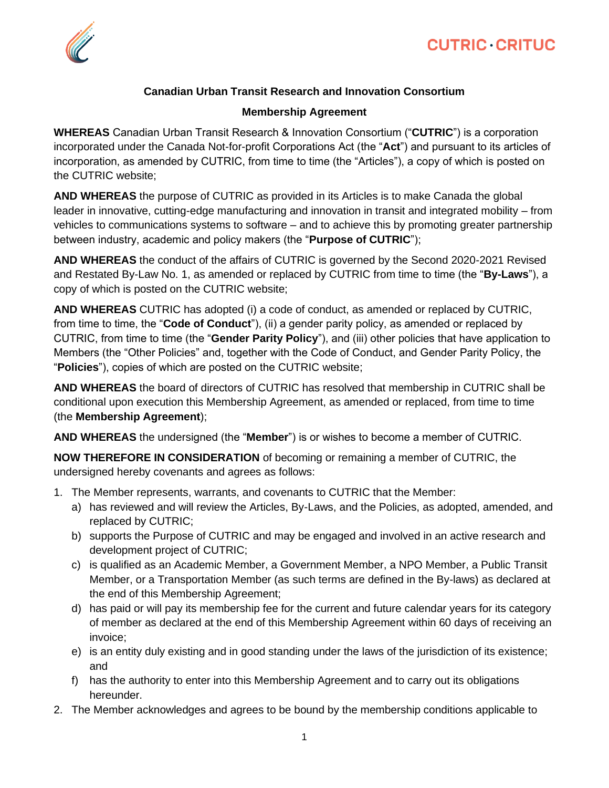

## **Canadian Urban Transit Research and Innovation Consortium**

## **Membership Agreement**

**WHEREAS** Canadian Urban Transit Research & Innovation Consortium ("**CUTRIC**") is a corporation incorporated under the Canada Not-for-profit Corporations Act (the "**Act**") and pursuant to its articles of incorporation, as amended by CUTRIC, from time to time (the "Articles"), a copy of which is posted on the CUTRIC website;

**AND WHEREAS** the purpose of CUTRIC as provided in its Articles is to make Canada the global leader in innovative, cutting-edge manufacturing and innovation in transit and integrated mobility – from vehicles to communications systems to software – and to achieve this by promoting greater partnership between industry, academic and policy makers (the "**Purpose of CUTRIC**");

**AND WHEREAS** the conduct of the affairs of CUTRIC is governed by the Second 2020-2021 Revised and Restated By-Law No. 1, as amended or replaced by CUTRIC from time to time (the "**By-Laws**"), a copy of which is posted on the CUTRIC website;

**AND WHEREAS** CUTRIC has adopted (i) a code of conduct, as amended or replaced by CUTRIC, from time to time, the "**Code of Conduct**"), (ii) a gender parity policy, as amended or replaced by CUTRIC, from time to time (the "**Gender Parity Policy**"), and (iii) other policies that have application to Members (the "Other Policies" and, together with the Code of Conduct, and Gender Parity Policy, the "**Policies**"), copies of which are posted on the CUTRIC website;

**AND WHEREAS** the board of directors of CUTRIC has resolved that membership in CUTRIC shall be conditional upon execution this Membership Agreement, as amended or replaced, from time to time (the **Membership Agreement**);

**AND WHEREAS** the undersigned (the "**Member**") is or wishes to become a member of CUTRIC.

**NOW THEREFORE IN CONSIDERATION** of becoming or remaining a member of CUTRIC, the undersigned hereby covenants and agrees as follows:

- 1. The Member represents, warrants, and covenants to CUTRIC that the Member:
	- a) has reviewed and will review the Articles, By-Laws, and the Policies, as adopted, amended, and replaced by CUTRIC;
	- b) supports the Purpose of CUTRIC and may be engaged and involved in an active research and development project of CUTRIC;
	- c) is qualified as an Academic Member, a Government Member, a NPO Member, a Public Transit Member, or a Transportation Member (as such terms are defined in the By-laws) as declared at the end of this Membership Agreement;
	- d) has paid or will pay its membership fee for the current and future calendar years for its category of member as declared at the end of this Membership Agreement within 60 days of receiving an invoice;
	- e) is an entity duly existing and in good standing under the laws of the jurisdiction of its existence; and
	- f) has the authority to enter into this Membership Agreement and to carry out its obligations hereunder.
- 2. The Member acknowledges and agrees to be bound by the membership conditions applicable to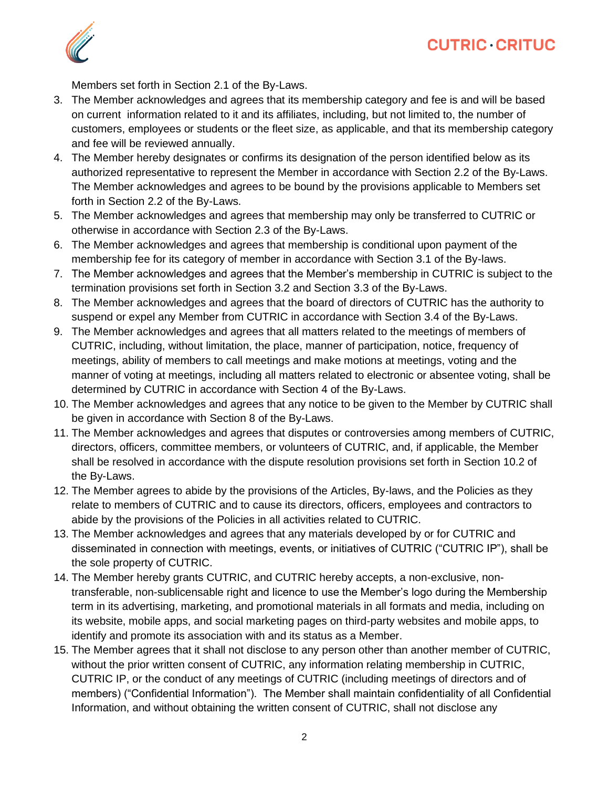

Members set forth in Section 2.1 of the By-Laws.

- 3. The Member acknowledges and agrees that its membership category and fee is and will be based on current information related to it and its affiliates, including, but not limited to, the number of customers, employees or students or the fleet size, as applicable, and that its membership category and fee will be reviewed annually.
- 4. The Member hereby designates or confirms its designation of the person identified below as its authorized representative to represent the Member in accordance with Section 2.2 of the By-Laws. The Member acknowledges and agrees to be bound by the provisions applicable to Members set forth in Section 2.2 of the By-Laws.
- 5. The Member acknowledges and agrees that membership may only be transferred to CUTRIC or otherwise in accordance with Section 2.3 of the By-Laws.
- 6. The Member acknowledges and agrees that membership is conditional upon payment of the membership fee for its category of member in accordance with Section 3.1 of the By-laws.
- 7. The Member acknowledges and agrees that the Member's membership in CUTRIC is subject to the termination provisions set forth in Section 3.2 and Section 3.3 of the By-Laws.
- 8. The Member acknowledges and agrees that the board of directors of CUTRIC has the authority to suspend or expel any Member from CUTRIC in accordance with Section 3.4 of the By-Laws.
- 9. The Member acknowledges and agrees that all matters related to the meetings of members of CUTRIC, including, without limitation, the place, manner of participation, notice, frequency of meetings, ability of members to call meetings and make motions at meetings, voting and the manner of voting at meetings, including all matters related to electronic or absentee voting, shall be determined by CUTRIC in accordance with Section 4 of the By-Laws.
- 10. The Member acknowledges and agrees that any notice to be given to the Member by CUTRIC shall be given in accordance with Section 8 of the By-Laws.
- 11. The Member acknowledges and agrees that disputes or controversies among members of CUTRIC, directors, officers, committee members, or volunteers of CUTRIC, and, if applicable, the Member shall be resolved in accordance with the dispute resolution provisions set forth in Section 10.2 of the By-Laws.
- 12. The Member agrees to abide by the provisions of the Articles, By-laws, and the Policies as they relate to members of CUTRIC and to cause its directors, officers, employees and contractors to abide by the provisions of the Policies in all activities related to CUTRIC.
- 13. The Member acknowledges and agrees that any materials developed by or for CUTRIC and disseminated in connection with meetings, events, or initiatives of CUTRIC ("CUTRIC IP"), shall be the sole property of CUTRIC.
- 14. The Member hereby grants CUTRIC, and CUTRIC hereby accepts, a non-exclusive, nontransferable, non-sublicensable right and licence to use the Member's logo during the Membership term in its advertising, marketing, and promotional materials in all formats and media, including on its website, mobile apps, and social marketing pages on third-party websites and mobile apps, to identify and promote its association with and its status as a Member.
- 15. The Member agrees that it shall not disclose to any person other than another member of CUTRIC, without the prior written consent of CUTRIC, any information relating membership in CUTRIC, CUTRIC IP, or the conduct of any meetings of CUTRIC (including meetings of directors and of members) ("Confidential Information"). The Member shall maintain confidentiality of all Confidential Information, and without obtaining the written consent of CUTRIC, shall not disclose any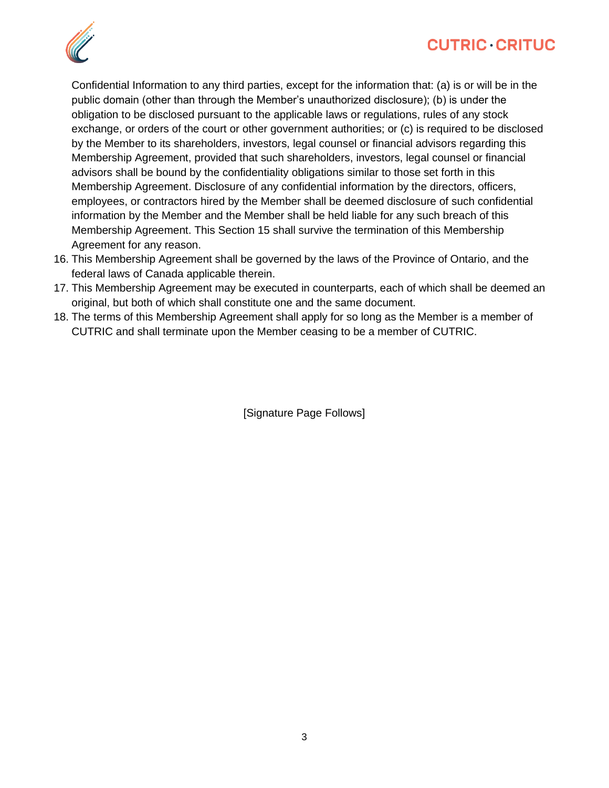



Confidential Information to any third parties, except for the information that: (a) is or will be in the public domain (other than through the Member's unauthorized disclosure); (b) is under the obligation to be disclosed pursuant to the applicable laws or regulations, rules of any stock exchange, or orders of the court or other government authorities; or (c) is required to be disclosed by the Member to its shareholders, investors, legal counsel or financial advisors regarding this Membership Agreement, provided that such shareholders, investors, legal counsel or financial advisors shall be bound by the confidentiality obligations similar to those set forth in this Membership Agreement. Disclosure of any confidential information by the directors, officers, employees, or contractors hired by the Member shall be deemed disclosure of such confidential information by the Member and the Member shall be held liable for any such breach of this Membership Agreement. This Section 15 shall survive the termination of this Membership Agreement for any reason.

- 16. This Membership Agreement shall be governed by the laws of the Province of Ontario, and the federal laws of Canada applicable therein.
- 17. This Membership Agreement may be executed in counterparts, each of which shall be deemed an original, but both of which shall constitute one and the same document.
- 18. The terms of this Membership Agreement shall apply for so long as the Member is a member of CUTRIC and shall terminate upon the Member ceasing to be a member of CUTRIC.

[Signature Page Follows]